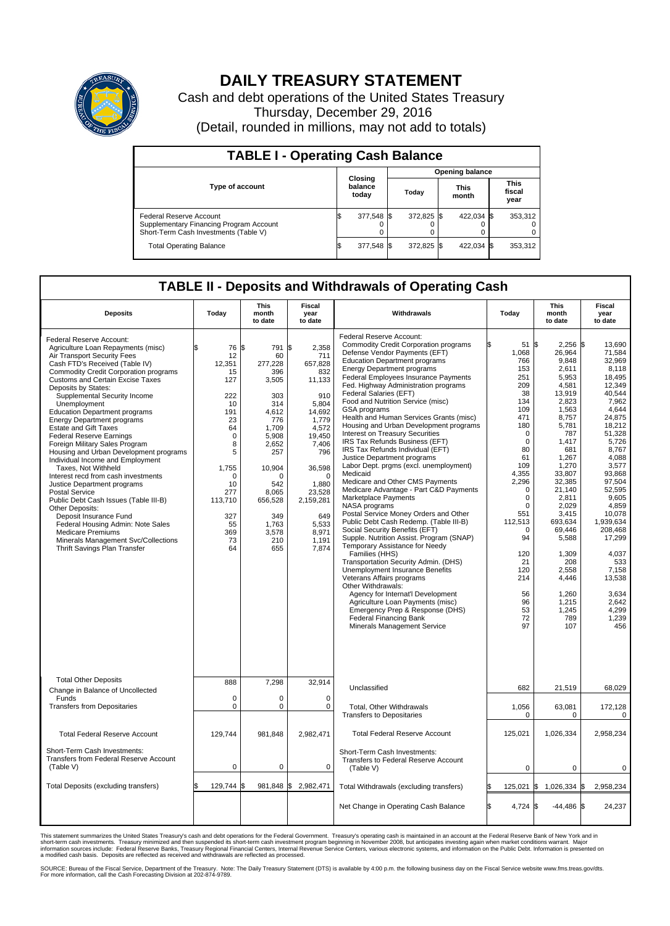

## **DAILY TREASURY STATEMENT**

Cash and debt operations of the United States Treasury Thursday, December 29, 2016 (Detail, rounded in millions, may not add to totals)

| <b>TABLE I - Operating Cash Balance</b>                                                                     |  |                             |  |                        |  |                      |  |                               |  |  |  |
|-------------------------------------------------------------------------------------------------------------|--|-----------------------------|--|------------------------|--|----------------------|--|-------------------------------|--|--|--|
|                                                                                                             |  |                             |  | <b>Opening balance</b> |  |                      |  |                               |  |  |  |
| <b>Type of account</b>                                                                                      |  | Closing<br>balance<br>today |  | Todav                  |  | <b>This</b><br>month |  | <b>This</b><br>fiscal<br>year |  |  |  |
| Federal Reserve Account<br>Supplementary Financing Program Account<br>Short-Term Cash Investments (Table V) |  | 377,548 \$                  |  | 372.825 \$             |  | 422.034 \$           |  | 353,312                       |  |  |  |
| <b>Total Operating Balance</b>                                                                              |  | 377,548 \$                  |  | 372.825 \$             |  | 422,034 \$           |  | 353,312                       |  |  |  |

## **TABLE II - Deposits and Withdrawals of Operating Cash**

| <b>Deposits</b>                                                                                                                                                                                                                                                                                                                                                                                                                                                                                                                                                                                                                                                                                                                                                                                                                                                                                                       | Today                                                                                                                                                                    | <b>This</b><br>month<br>to date                                                                                                                                                       | <b>Fiscal</b><br>year<br>to date                                                                                                                                                                                         | Withdrawals                                                                                                                                                                                                                                                                                                                                                                                                                                                                                                                                                                                                                                                                                                                                                                                                                                                                                                                                                                                                                                                                                                                                                                                                                                                                                          | Today                                                                                                                                                                                                                                                                     | <b>This</b><br>month<br>to date                                                                                                                                                                                                                                                                                   | <b>Fiscal</b><br>year<br>to date                                                                                                                                                                                                                                                                                                |  |
|-----------------------------------------------------------------------------------------------------------------------------------------------------------------------------------------------------------------------------------------------------------------------------------------------------------------------------------------------------------------------------------------------------------------------------------------------------------------------------------------------------------------------------------------------------------------------------------------------------------------------------------------------------------------------------------------------------------------------------------------------------------------------------------------------------------------------------------------------------------------------------------------------------------------------|--------------------------------------------------------------------------------------------------------------------------------------------------------------------------|---------------------------------------------------------------------------------------------------------------------------------------------------------------------------------------|--------------------------------------------------------------------------------------------------------------------------------------------------------------------------------------------------------------------------|------------------------------------------------------------------------------------------------------------------------------------------------------------------------------------------------------------------------------------------------------------------------------------------------------------------------------------------------------------------------------------------------------------------------------------------------------------------------------------------------------------------------------------------------------------------------------------------------------------------------------------------------------------------------------------------------------------------------------------------------------------------------------------------------------------------------------------------------------------------------------------------------------------------------------------------------------------------------------------------------------------------------------------------------------------------------------------------------------------------------------------------------------------------------------------------------------------------------------------------------------------------------------------------------------|---------------------------------------------------------------------------------------------------------------------------------------------------------------------------------------------------------------------------------------------------------------------------|-------------------------------------------------------------------------------------------------------------------------------------------------------------------------------------------------------------------------------------------------------------------------------------------------------------------|---------------------------------------------------------------------------------------------------------------------------------------------------------------------------------------------------------------------------------------------------------------------------------------------------------------------------------|--|
| Federal Reserve Account:<br>Agriculture Loan Repayments (misc)<br>Air Transport Security Fees<br>Cash FTD's Received (Table IV)<br><b>Commodity Credit Corporation programs</b><br><b>Customs and Certain Excise Taxes</b><br>Deposits by States:<br>Supplemental Security Income<br>Unemployment<br><b>Education Department programs</b><br><b>Energy Department programs</b><br><b>Estate and Gift Taxes</b><br><b>Federal Reserve Earnings</b><br>Foreign Military Sales Program<br>Housing and Urban Development programs<br>Individual Income and Employment<br>Taxes, Not Withheld<br>Interest recd from cash investments<br>Justice Department programs<br><b>Postal Service</b><br>Public Debt Cash Issues (Table III-B)<br>Other Deposits:<br>Deposit Insurance Fund<br>Federal Housing Admin: Note Sales<br><b>Medicare Premiums</b><br>Minerals Management Svc/Collections<br>Thrift Savings Plan Transfer | 76 \$<br>12<br>12,351<br>15<br>127<br>222<br>10<br>191<br>23<br>64<br>$\mathbf 0$<br>8<br>5<br>1,755<br>$\Omega$<br>10<br>277<br>113,710<br>327<br>55<br>369<br>73<br>64 | 791<br>60<br>277,228<br>396<br>3,505<br>303<br>314<br>4.612<br>776<br>1,709<br>5.908<br>2,652<br>257<br>10,904<br>O<br>542<br>8,065<br>656,528<br>349<br>1,763<br>3,578<br>210<br>655 | \$<br>2,358<br>711<br>657,828<br>832<br>11,133<br>910<br>5,804<br>14.692<br>1,779<br>4,572<br>19.450<br>7,406<br>796<br>36,598<br>$\mathbf 0$<br>1.880<br>23,528<br>2,159,281<br>649<br>5,533<br>8,971<br>1,191<br>7,874 | Federal Reserve Account:<br><b>Commodity Credit Corporation programs</b><br>Defense Vendor Payments (EFT)<br><b>Education Department programs</b><br><b>Energy Department programs</b><br>Federal Employees Insurance Payments<br>Fed. Highway Administration programs<br>Federal Salaries (EFT)<br>Food and Nutrition Service (misc)<br><b>GSA</b> programs<br>Health and Human Services Grants (misc)<br>Housing and Urban Development programs<br>Interest on Treasury Securities<br>IRS Tax Refunds Business (EFT)<br>IRS Tax Refunds Individual (EFT)<br>Justice Department programs<br>Labor Dept. prgms (excl. unemployment)<br>Medicaid<br>Medicare and Other CMS Payments<br>Medicare Advantage - Part C&D Payments<br>Marketplace Payments<br>NASA programs<br>Postal Service Money Orders and Other<br>Public Debt Cash Redemp. (Table III-B)<br>Social Security Benefits (EFT)<br>Supple. Nutrition Assist. Program (SNAP)<br>Temporary Assistance for Needy<br>Families (HHS)<br>Transportation Security Admin. (DHS)<br>Unemployment Insurance Benefits<br>Veterans Affairs programs<br>Other Withdrawals:<br>Agency for Internat'l Development<br>Agriculture Loan Payments (misc)<br>Emergency Prep & Response (DHS)<br><b>Federal Financing Bank</b><br>Minerals Management Service | 51 \$<br>1,068<br>766<br>153<br>251<br>209<br>38<br>134<br>109<br>471<br>180<br>$\mathbf 0$<br>$\Omega$<br>80<br>61<br>109<br>4,355<br>2,296<br>$\Omega$<br>0<br>$\Omega$<br>551<br>112,513<br>$\mathbf 0$<br>94<br>120<br>21<br>120<br>214<br>56<br>96<br>53<br>72<br>97 | $2,256$ \$<br>26,964<br>9,848<br>2.611<br>5,953<br>4,581<br>13,919<br>2,823<br>1,563<br>8,757<br>5,781<br>787<br>1.417<br>681<br>1,267<br>1,270<br>33,807<br>32,385<br>21.140<br>2,811<br>2.029<br>3,415<br>693.634<br>69,446<br>5,588<br>1,309<br>208<br>2,558<br>4,446<br>1,260<br>1,215<br>1,245<br>789<br>107 | 13.690<br>71,584<br>32,969<br>8.118<br>18,495<br>12.349<br>40.544<br>7,962<br>4,644<br>24,875<br>18,212<br>51,328<br>5.726<br>8,767<br>4.088<br>3,577<br>93,868<br>97,504<br>52,595<br>9,605<br>4.859<br>10,078<br>1.939.634<br>208,468<br>17,299<br>4,037<br>533<br>7.158<br>13,538<br>3.634<br>2,642<br>4,299<br>1,239<br>456 |  |
| <b>Total Other Deposits</b>                                                                                                                                                                                                                                                                                                                                                                                                                                                                                                                                                                                                                                                                                                                                                                                                                                                                                           | 888                                                                                                                                                                      | 7,298                                                                                                                                                                                 | 32,914                                                                                                                                                                                                                   | Unclassified                                                                                                                                                                                                                                                                                                                                                                                                                                                                                                                                                                                                                                                                                                                                                                                                                                                                                                                                                                                                                                                                                                                                                                                                                                                                                         | 682                                                                                                                                                                                                                                                                       | 21,519                                                                                                                                                                                                                                                                                                            | 68,029                                                                                                                                                                                                                                                                                                                          |  |
| Change in Balance of Uncollected<br>Funds<br><b>Transfers from Depositaries</b>                                                                                                                                                                                                                                                                                                                                                                                                                                                                                                                                                                                                                                                                                                                                                                                                                                       | $\mathbf 0$<br>$\mathbf 0$                                                                                                                                               | $\Omega$<br>0                                                                                                                                                                         | $\Omega$<br>0                                                                                                                                                                                                            | Total, Other Withdrawals                                                                                                                                                                                                                                                                                                                                                                                                                                                                                                                                                                                                                                                                                                                                                                                                                                                                                                                                                                                                                                                                                                                                                                                                                                                                             | 1,056                                                                                                                                                                                                                                                                     | 63,081                                                                                                                                                                                                                                                                                                            | 172,128                                                                                                                                                                                                                                                                                                                         |  |
| <b>Total Federal Reserve Account</b>                                                                                                                                                                                                                                                                                                                                                                                                                                                                                                                                                                                                                                                                                                                                                                                                                                                                                  | 129,744                                                                                                                                                                  | 981,848                                                                                                                                                                               | 2,982,471                                                                                                                                                                                                                | <b>Transfers to Depositaries</b><br><b>Total Federal Reserve Account</b>                                                                                                                                                                                                                                                                                                                                                                                                                                                                                                                                                                                                                                                                                                                                                                                                                                                                                                                                                                                                                                                                                                                                                                                                                             | $\mathbf 0$<br>125,021                                                                                                                                                                                                                                                    | $\mathbf 0$<br>1,026,334                                                                                                                                                                                                                                                                                          | 0<br>2,958,234                                                                                                                                                                                                                                                                                                                  |  |
| Short-Term Cash Investments:                                                                                                                                                                                                                                                                                                                                                                                                                                                                                                                                                                                                                                                                                                                                                                                                                                                                                          |                                                                                                                                                                          |                                                                                                                                                                                       |                                                                                                                                                                                                                          | Short-Term Cash Investments:                                                                                                                                                                                                                                                                                                                                                                                                                                                                                                                                                                                                                                                                                                                                                                                                                                                                                                                                                                                                                                                                                                                                                                                                                                                                         |                                                                                                                                                                                                                                                                           |                                                                                                                                                                                                                                                                                                                   |                                                                                                                                                                                                                                                                                                                                 |  |
| Transfers from Federal Reserve Account<br>(Table V)                                                                                                                                                                                                                                                                                                                                                                                                                                                                                                                                                                                                                                                                                                                                                                                                                                                                   | $\pmb{0}$                                                                                                                                                                | 0                                                                                                                                                                                     | 0                                                                                                                                                                                                                        | Transfers to Federal Reserve Account<br>(Table V)                                                                                                                                                                                                                                                                                                                                                                                                                                                                                                                                                                                                                                                                                                                                                                                                                                                                                                                                                                                                                                                                                                                                                                                                                                                    | 0                                                                                                                                                                                                                                                                         | 0                                                                                                                                                                                                                                                                                                                 | 0                                                                                                                                                                                                                                                                                                                               |  |
| Total Deposits (excluding transfers)                                                                                                                                                                                                                                                                                                                                                                                                                                                                                                                                                                                                                                                                                                                                                                                                                                                                                  | 129,744<br>\$.                                                                                                                                                           | \$                                                                                                                                                                                    | 981,848 \$2,982,471                                                                                                                                                                                                      | Total Withdrawals (excluding transfers)                                                                                                                                                                                                                                                                                                                                                                                                                                                                                                                                                                                                                                                                                                                                                                                                                                                                                                                                                                                                                                                                                                                                                                                                                                                              | $125,021$ \$                                                                                                                                                                                                                                                              | 1,026,334 \$                                                                                                                                                                                                                                                                                                      | 2,958,234                                                                                                                                                                                                                                                                                                                       |  |
|                                                                                                                                                                                                                                                                                                                                                                                                                                                                                                                                                                                                                                                                                                                                                                                                                                                                                                                       |                                                                                                                                                                          |                                                                                                                                                                                       |                                                                                                                                                                                                                          | Net Change in Operating Cash Balance                                                                                                                                                                                                                                                                                                                                                                                                                                                                                                                                                                                                                                                                                                                                                                                                                                                                                                                                                                                                                                                                                                                                                                                                                                                                 | l\$<br>4,724 \$                                                                                                                                                                                                                                                           | $-44,486$ \$                                                                                                                                                                                                                                                                                                      | 24,237                                                                                                                                                                                                                                                                                                                          |  |

This statement summarizes the United States Treasury's cash and debt operations for the Federal Government. Treasury's operating cash is maintained in an account at the Federal Reserve Bank of New York and in<br>short-term ca

SOURCE: Bureau of the Fiscal Service, Department of the Treasury. Note: The Daily Treasury Statement (DTS) is available by 4:00 p.m. the following business day on the Fiscal Service website www.fms.treas.gov/dts.<br>For more